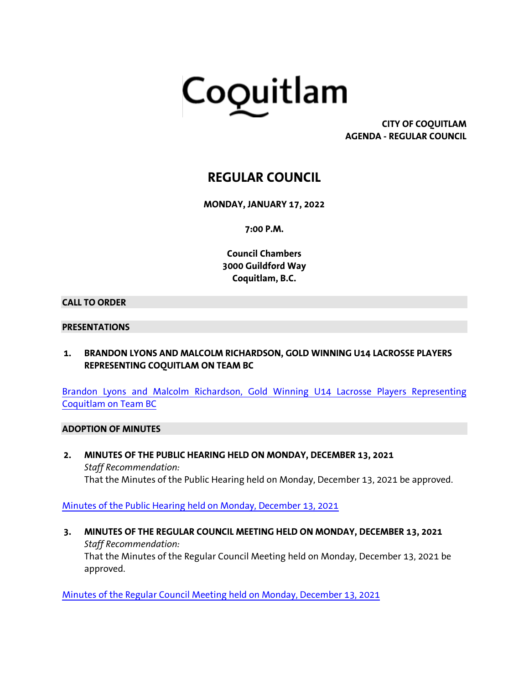

**CITY OF COQUITLAM AGENDA - REGULAR COUNCIL**

# **REGULAR COUNCIL**

**MONDAY, JANUARY 17, 2022**

**7:00 P.M.**

**Council Chambers 3000 Guildford Way Coquitlam, B.C.**

#### **CALL TO ORDER**

#### **PRESENTATIONS**

**1. BRANDON LYONS AND MALCOLM RICHARDSON, GOLD WINNING U14 LACROSSE PLAYERS REPRESENTING COQUITLAM ON TEAM BC**

[Brandon Lyons and Malcolm Richardson, Gold Winning U14 Lacrosse Players Representing](https://coquitlam.ca.granicus.com/MetaViewer.php?view_id=&event_id=1175&meta_id=51898)  [Coquitlam on Team BC](https://coquitlam.ca.granicus.com/MetaViewer.php?view_id=&event_id=1175&meta_id=51898)

#### **ADOPTION OF MINUTES**

**2. MINUTES OF THE PUBLIC HEARING HELD ON MONDAY, DECEMBER 13, 2021** *Staff Recommendation:* That the Minutes of the Public Hearing held on Monday, December 13, 2021 be approved.

[Minutes of the Public Hearing held on Monday, December 13, 2021](https://coquitlam.ca.granicus.com/MetaViewer.php?view_id=&event_id=1175&meta_id=51900)

**3. MINUTES OF THE REGULAR COUNCIL MEETING HELD ON MONDAY, DECEMBER 13, 2021** *Staff Recommendation:* That the Minutes of the Regular Council Meeting held on Monday, December 13, 2021 be approved.

[Minutes of the Regular Council Meeting held on Monday, December 13, 2021](https://coquitlam.ca.granicus.com/MetaViewer.php?view_id=&event_id=1175&meta_id=51903)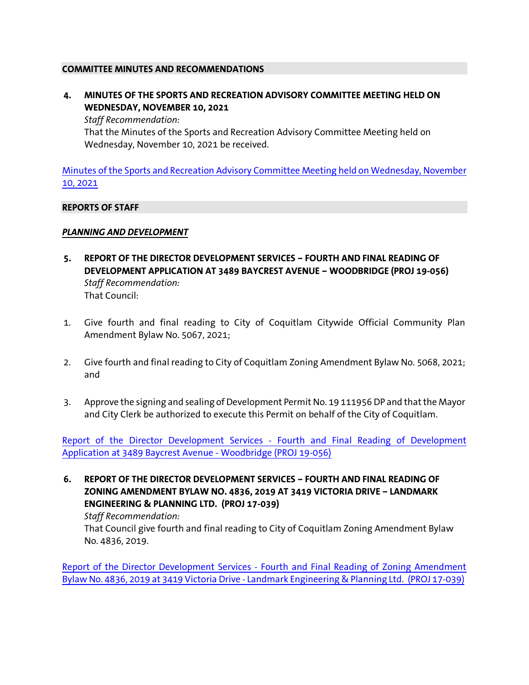#### **COMMITTEE MINUTES AND RECOMMENDATIONS**

**4. MINUTES OF THE SPORTS AND RECREATION ADVISORY COMMITTEE MEETING HELD ON WEDNESDAY, NOVEMBER 10, 2021** *Staff Recommendation:*

That the Minutes of the Sports and Recreation Advisory Committee Meeting held on Wednesday, November 10, 2021 be received.

[Minutes of the Sports and Recreation Advisory Committee Meeting held on Wednesday, November](https://coquitlam.ca.granicus.com/MetaViewer.php?view_id=&event_id=1175&meta_id=51905)  [10, 2021](https://coquitlam.ca.granicus.com/MetaViewer.php?view_id=&event_id=1175&meta_id=51905)

#### **REPORTS OF STAFF**

#### *PLANNING AND DEVELOPMENT*

- **5. REPORT OF THE DIRECTOR DEVELOPMENT SERVICES – FOURTH AND FINAL READING OF DEVELOPMENT APPLICATION AT 3489 BAYCREST AVENUE – WOODBRIDGE (PROJ 19-056)** *Staff Recommendation:* That Council:
- 1. Give fourth and final reading to City of Coquitlam Citywide Official Community Plan Amendment Bylaw No. 5067, 2021;
- 2. Give fourth and final reading to City of Coquitlam Zoning Amendment Bylaw No. 5068, 2021; and
- 3. Approve the signing and sealing of Development Permit No. 19 111956 DP and that the Mayor and City Clerk be authorized to execute this Permit on behalf of the City of Coquitlam.

[Report of the Director Development Services -](https://coquitlam.ca.granicus.com/MetaViewer.php?view_id=&event_id=1175&meta_id=51907) Fourth and Final Reading of Development [Application at 3489 Baycrest Avenue -](https://coquitlam.ca.granicus.com/MetaViewer.php?view_id=&event_id=1175&meta_id=51907) Woodbridge (PROJ 19-056)

**6. REPORT OF THE DIRECTOR DEVELOPMENT SERVICES – FOURTH AND FINAL READING OF ZONING AMENDMENT BYLAW NO. 4836, 2019 AT 3419 VICTORIA DRIVE – LANDMARK ENGINEERING & PLANNING LTD. (PROJ 17-039)**

#### *Staff Recommendation:*

That Council give fourth and final reading to City of Coquitlam Zoning Amendment Bylaw No. 4836, 2019.

Report of the Director Development Services - [Fourth and Final Reading of Zoning Amendment](https://coquitlam.ca.granicus.com/MetaViewer.php?view_id=&event_id=1175&meta_id=51909)  [Bylaw No. 4836, 2019 at 3419 Victoria Drive -](https://coquitlam.ca.granicus.com/MetaViewer.php?view_id=&event_id=1175&meta_id=51909) Landmark Engineering & Planning Ltd. (PROJ 17-039)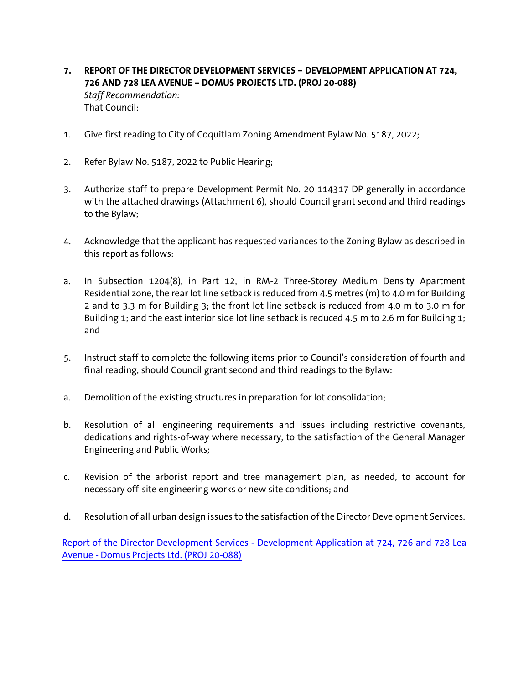- **7. REPORT OF THE DIRECTOR DEVELOPMENT SERVICES – DEVELOPMENT APPLICATION AT 724, 726 AND 728 LEA AVENUE – DOMUS PROJECTS LTD. (PROJ 20-088)** *Staff Recommendation:* That Council:
- 1. Give first reading to City of Coquitlam Zoning Amendment Bylaw No. 5187, 2022;
- 2. Refer Bylaw No. 5187, 2022 to Public Hearing;
- 3. Authorize staff to prepare Development Permit No. 20 114317 DP generally in accordance with the attached drawings (Attachment 6), should Council grant second and third readings to the Bylaw;
- 4. Acknowledge that the applicant has requested variances to the Zoning Bylaw as described in this report as follows:
- a. In Subsection 1204(8), in Part 12, in RM-2 Three-Storey Medium Density Apartment Residential zone, the rear lot line setback is reduced from 4.5 metres (m) to 4.0 m for Building 2 and to 3.3 m for Building 3; the front lot line setback is reduced from 4.0 m to 3.0 m for Building 1; and the east interior side lot line setback is reduced 4.5 m to 2.6 m for Building 1; and
- 5. Instruct staff to complete the following items prior to Council's consideration of fourth and final reading, should Council grant second and third readings to the Bylaw:
- a. Demolition of the existing structures in preparation for lot consolidation;
- b. Resolution of all engineering requirements and issues including restrictive covenants, dedications and rights-of-way where necessary, to the satisfaction of the General Manager Engineering and Public Works;
- c. Revision of the arborist report and tree management plan, as needed, to account for necessary off-site engineering works or new site conditions; and
- d. Resolution of all urban design issues to the satisfaction of the Director Development Services.

Report of the Director Development Services - [Development Application at 724, 726 and 728 Lea](https://coquitlam.ca.granicus.com/MetaViewer.php?view_id=&event_id=1175&meta_id=51911)  Avenue - [Domus Projects Ltd. \(PROJ 20-088\)](https://coquitlam.ca.granicus.com/MetaViewer.php?view_id=&event_id=1175&meta_id=51911)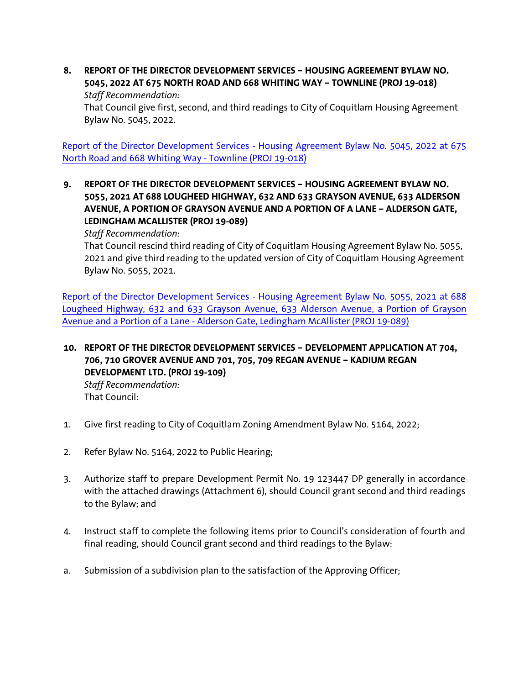**8. REPORT OF THE DIRECTOR DEVELOPMENT SERVICES – HOUSING AGREEMENT BYLAW NO. 5045, 2022 AT 675 NORTH ROAD AND 668 WHITING WAY – TOWNLINE (PROJ 19-018)** *Staff Recommendation:*

That Council give first, second, and third readings to City of Coquitlam Housing Agreement Bylaw No. 5045, 2022.

Report of the Director Development Services - [Housing Agreement Bylaw No. 5045, 2022 at 675](https://coquitlam.ca.granicus.com/MetaViewer.php?view_id=&event_id=1175&meta_id=51913)  [North Road and 668 Whiting Way -](https://coquitlam.ca.granicus.com/MetaViewer.php?view_id=&event_id=1175&meta_id=51913) Townline (PROJ 19-018)

**9. REPORT OF THE DIRECTOR DEVELOPMENT SERVICES – HOUSING AGREEMENT BYLAW NO. 5055, 2021 AT 688 LOUGHEED HIGHWAY, 632 AND 633 GRAYSON AVENUE, 633 ALDERSON AVENUE, A PORTION OF GRAYSON AVENUE AND A PORTION OF A LANE – ALDERSON GATE, LEDINGHAM MCALLISTER (PROJ 19-089)**

*Staff Recommendation:*

That Council rescind third reading of City of Coquitlam Housing Agreement Bylaw No. 5055, 2021 and give third reading to the updated version of City of Coquitlam Housing Agreement Bylaw No. 5055, 2021.

Report of the Director Development Services - [Housing Agreement Bylaw No. 5055, 2021 at 688](https://coquitlam.ca.granicus.com/MetaViewer.php?view_id=&event_id=1175&meta_id=51915)  [Lougheed Highway, 632 and 633 Grayson Avenue, 633 Alderson Avenue, a Portion of Grayson](https://coquitlam.ca.granicus.com/MetaViewer.php?view_id=&event_id=1175&meta_id=51915)  Avenue and a Portion of a Lane - [Alderson Gate, Ledingham McAllister \(PROJ 19-089\)](https://coquitlam.ca.granicus.com/MetaViewer.php?view_id=&event_id=1175&meta_id=51915)

**10. REPORT OF THE DIRECTOR DEVELOPMENT SERVICES – DEVELOPMENT APPLICATION AT 704, 706, 710 GROVER AVENUE AND 701, 705, 709 REGAN AVENUE – KADIUM REGAN DEVELOPMENT LTD. (PROJ 19-109)** *Staff Recommendation:*

That Council:

- 1. Give first reading to City of Coquitlam Zoning Amendment Bylaw No. 5164, 2022;
- 2. Refer Bylaw No. 5164, 2022 to Public Hearing;
- 3. Authorize staff to prepare Development Permit No. 19 123447 DP generally in accordance with the attached drawings (Attachment 6), should Council grant second and third readings to the Bylaw; and
- 4. Instruct staff to complete the following items prior to Council's consideration of fourth and final reading, should Council grant second and third readings to the Bylaw:
- a. Submission of a subdivision plan to the satisfaction of the Approving Officer;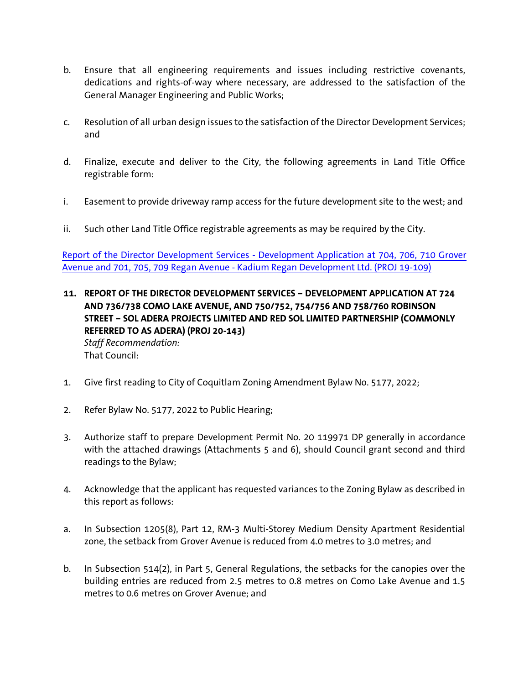- b. Ensure that all engineering requirements and issues including restrictive covenants, dedications and rights-of-way where necessary, are addressed to the satisfaction of the General Manager Engineering and Public Works;
- c. Resolution of all urban design issues to the satisfaction of the Director Development Services; and
- d. Finalize, execute and deliver to the City, the following agreements in Land Title Office registrable form:
- i. Easement to provide driveway ramp access for the future development site to the west; and
- ii. Such other Land Title Office registrable agreements as may be required by the City.

Report of the Director Development Services - [Development Application at 704, 706, 710 Grover](https://coquitlam.ca.granicus.com/MetaViewer.php?view_id=&event_id=1175&meta_id=51917)  Avenue and 701, 705, 709 Regan Avenue - [Kadium Regan Development Ltd. \(PROJ 19-109\)](https://coquitlam.ca.granicus.com/MetaViewer.php?view_id=&event_id=1175&meta_id=51917)

- **11. REPORT OF THE DIRECTOR DEVELOPMENT SERVICES – DEVELOPMENT APPLICATION AT 724 AND 736/738 COMO LAKE AVENUE, AND 750/752, 754/756 AND 758/760 ROBINSON STREET – SOL ADERA PROJECTS LIMITED AND RED SOL LIMITED PARTNERSHIP (COMMONLY REFERRED TO AS ADERA) (PROJ 20-143)** *Staff Recommendation:* That Council:
- 1. Give first reading to City of Coquitlam Zoning Amendment Bylaw No. 5177, 2022;
- 2. Refer Bylaw No. 5177, 2022 to Public Hearing;
- 3. Authorize staff to prepare Development Permit No. 20 119971 DP generally in accordance with the attached drawings (Attachments 5 and 6), should Council grant second and third readings to the Bylaw;
- 4. Acknowledge that the applicant has requested variances to the Zoning Bylaw as described in this report as follows:
- a. In Subsection 1205(8), Part 12, RM-3 Multi-Storey Medium Density Apartment Residential zone, the setback from Grover Avenue is reduced from 4.0 metres to 3.0 metres; and
- b. In Subsection 514(2), in Part 5, General Regulations, the setbacks for the canopies over the building entries are reduced from 2.5 metres to 0.8 metres on Como Lake Avenue and 1.5 metres to 0.6 metres on Grover Avenue; and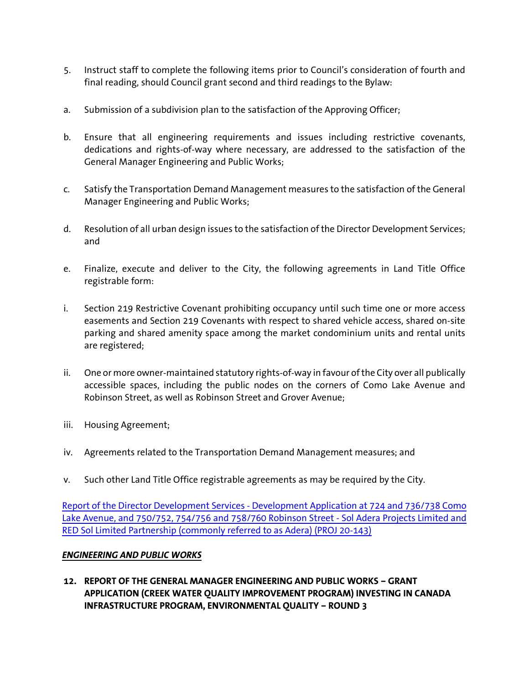- 5. Instruct staff to complete the following items prior to Council's consideration of fourth and final reading, should Council grant second and third readings to the Bylaw:
- a. Submission of a subdivision plan to the satisfaction of the Approving Officer;
- b. Ensure that all engineering requirements and issues including restrictive covenants, dedications and rights-of-way where necessary, are addressed to the satisfaction of the General Manager Engineering and Public Works;
- c. Satisfy the Transportation Demand Management measures to the satisfaction of the General Manager Engineering and Public Works;
- d. Resolution of all urban design issues to the satisfaction of the Director Development Services; and
- e. Finalize, execute and deliver to the City, the following agreements in Land Title Office registrable form:
- i. Section 219 Restrictive Covenant prohibiting occupancy until such time one or more access easements and Section 219 Covenants with respect to shared vehicle access, shared on-site parking and shared amenity space among the market condominium units and rental units are registered;
- ii. One or more owner-maintained statutory rights-of-way in favour of the City over all publically accessible spaces, including the public nodes on the corners of Como Lake Avenue and Robinson Street, as well as Robinson Street and Grover Avenue;
- iii. Housing Agreement;
- iv. Agreements related to the Transportation Demand Management measures; and
- v. Such other Land Title Office registrable agreements as may be required by the City.

Report of the Director Development Services - [Development Application at 724 and 736/738 Como](https://coquitlam.ca.granicus.com/MetaViewer.php?view_id=&event_id=1175&meta_id=51919)  [Lake Avenue, and 750/752, 754/756 and 758/760 Robinson Street -](https://coquitlam.ca.granicus.com/MetaViewer.php?view_id=&event_id=1175&meta_id=51919) Sol Adera Projects Limited and [RED Sol Limited Partnership \(commonly referred to as Adera\) \(PROJ 20-143\)](https://coquitlam.ca.granicus.com/MetaViewer.php?view_id=&event_id=1175&meta_id=51919)

### *ENGINEERING AND PUBLIC WORKS*

**12. REPORT OF THE GENERAL MANAGER ENGINEERING AND PUBLIC WORKS – GRANT APPLICATION (CREEK WATER QUALITY IMPROVEMENT PROGRAM) INVESTING IN CANADA INFRASTRUCTURE PROGRAM, ENVIRONMENTAL QUALITY – ROUND 3**